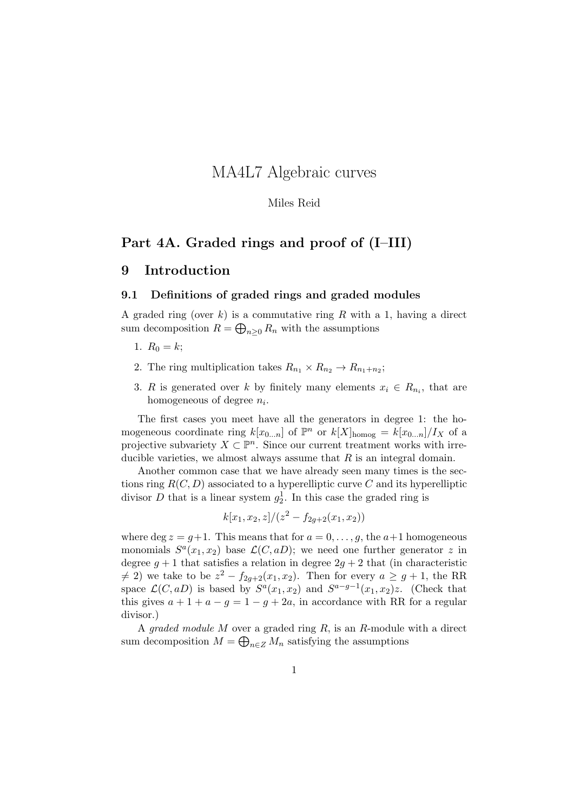# MA4L7 Algebraic curves

#### Miles Reid

## Part 4A. Graded rings and proof of (I–III)

## 9 Introduction

### 9.1 Definitions of graded rings and graded modules

A graded ring (over k) is a commutative ring R with a 1, having a direct sum decomposition  $R = \bigoplus_{n \geq 0} R_n$  with the assumptions

- 1.  $R_0 = k$ ;
- 2. The ring multiplication takes  $R_{n_1} \times R_{n_2} \to R_{n_1+n_2}$ ;
- 3. R is generated over k by finitely many elements  $x_i \in R_{n_i}$ , that are homogeneous of degree  $n_i$ .

The first cases you meet have all the generators in degree 1: the homogeneous coordinate ring  $k[x_{0...n}]$  of  $\mathbb{P}^n$  or  $k[X]_{\text{homog}} = k[x_{0...n}]/I_X$  of a projective subvariety  $X \subset \mathbb{P}^n$ . Since our current treatment works with irreducible varieties, we almost always assume that  $R$  is an integral domain.

Another common case that we have already seen many times is the sections ring  $R(C, D)$  associated to a hyperelliptic curve C and its hyperelliptic divisor D that is a linear system  $g_2^1$ . In this case the graded ring is

$$
k[x_1, x_2, z]/(z^2 - f_{2g+2}(x_1, x_2))
$$

where deg  $z = g+1$ . This means that for  $a = 0, \ldots, g$ , the  $a+1$  homogeneous monomials  $S^a(x_1, x_2)$  base  $\mathcal{L}(C, aD)$ ; we need one further generator z in degree  $g + 1$  that satisfies a relation in degree  $2g + 2$  that (in characteristic  $\neq$  2) we take to be  $z^2 - f_{2g+2}(x_1, x_2)$ . Then for every  $a \geq g+1$ , the RR space  $\mathcal{L}(C, aD)$  is based by  $S^{a}(x_1, x_2)$  and  $S^{a-g-1}(x_1, x_2)z$ . (Check that this gives  $a + 1 + a - g = 1 - g + 2a$ , in accordance with RR for a regular divisor.)

A graded module  $M$  over a graded ring  $R$ , is an  $R$ -module with a direct sum decomposition  $M = \bigoplus_{n \in \mathbb{Z}} M_n$  satisfying the assumptions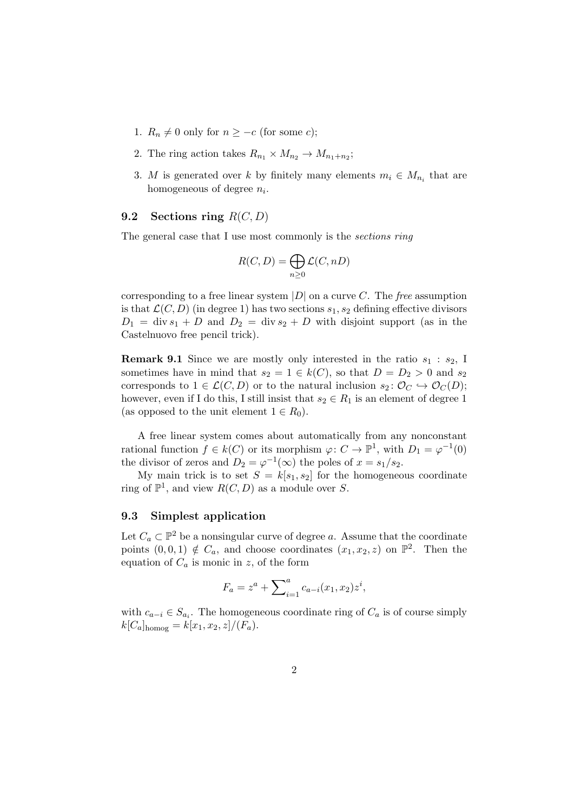- 1.  $R_n \neq 0$  only for  $n \geq -c$  (for some c);
- 2. The ring action takes  $R_{n_1} \times M_{n_2} \to M_{n_1+n_2}$ ;
- 3. M is generated over k by finitely many elements  $m_i \in M_{n_i}$  that are homogeneous of degree  $n_i$ .

### 9.2 Sections ring  $R(C, D)$

The general case that I use most commonly is the sections ring

$$
R(C, D) = \bigoplus_{n \ge 0} \mathcal{L}(C, nD)
$$

corresponding to a free linear system  $|D|$  on a curve C. The free assumption is that  $\mathcal{L}(C, D)$  (in degree 1) has two sections  $s_1, s_2$  defining effective divisors  $D_1 = \text{div } s_1 + D$  and  $D_2 = \text{div } s_2 + D$  with disjoint support (as in the Castelnuovo free pencil trick).

**Remark 9.1** Since we are mostly only interested in the ratio  $s_1 : s_2$ , I sometimes have in mind that  $s_2 = 1 \in k(C)$ , so that  $D = D_2 > 0$  and  $s_2$ corresponds to  $1 \in \mathcal{L}(C, D)$  or to the natural inclusion  $s_2 \colon \mathcal{O}_C \hookrightarrow \mathcal{O}_C(D)$ ; however, even if I do this, I still insist that  $s_2 \in R_1$  is an element of degree 1 (as opposed to the unit element  $1 \in R_0$ ).

A free linear system comes about automatically from any nonconstant rational function  $f \in k(C)$  or its morphism  $\varphi: C \to \mathbb{P}^1$ , with  $D_1 = \varphi^{-1}(0)$ the divisor of zeros and  $D_2 = \varphi^{-1}(\infty)$  the poles of  $x = s_1/s_2$ .

My main trick is to set  $S = k[s_1, s_2]$  for the homogeneous coordinate ring of  $\mathbb{P}^1$ , and view  $R(C, D)$  as a module over S.

## 9.3 Simplest application

Let  $C_a \subset \mathbb{P}^2$  be a nonsingular curve of degree a. Assume that the coordinate points  $(0,0,1) \notin C_a$ , and choose coordinates  $(x_1, x_2, z)$  on  $\mathbb{P}^2$ . Then the equation of  $C_a$  is monic in z, of the form

$$
F_a = z^a + \sum_{i=1}^a c_{a-i}(x_1, x_2) z^i,
$$

with  $c_{a-i} \in S_{a_i}$ . The homogeneous coordinate ring of  $C_a$  is of course simply  $k[C_a]_{\text{homog}} = k[x_1, x_2, z]/(F_a).$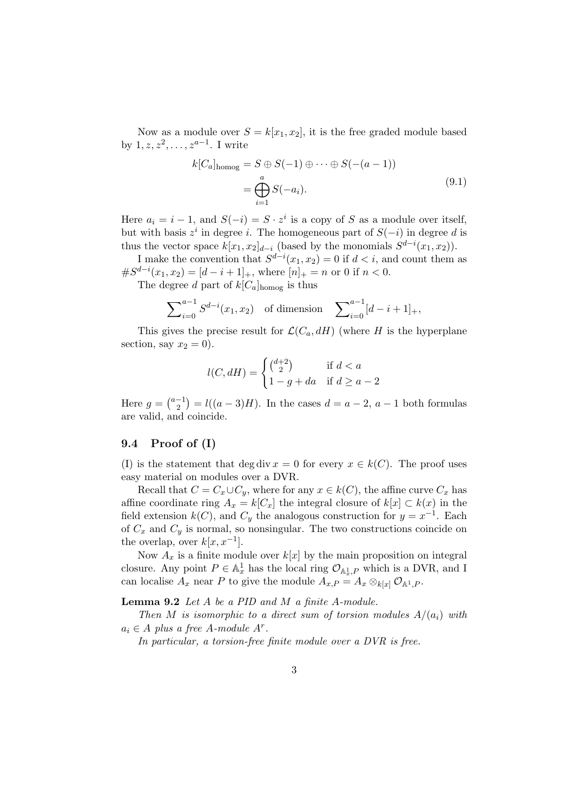Now as a module over  $S = k[x_1, x_2]$ , it is the free graded module based by  $1, z, z^2, \ldots, z^{a-1}$ . I write

$$
k[C_a]_{\text{homog}} = S \oplus S(-1) \oplus \cdots \oplus S(-(a-1))
$$

$$
= \bigoplus_{i=1}^a S(-a_i). \tag{9.1}
$$

Here  $a_i = i - 1$ , and  $S(-i) = S \cdot z^i$  is a copy of S as a module over itself, but with basis  $z^i$  in degree i. The homogeneous part of  $S(-i)$  in degree d is thus the vector space  $k[x_1, x_2]_{d-i}$  (based by the monomials  $S^{d-i}(x_1, x_2)$ ).

I make the convention that  $S^{d-i}(x_1, x_2) = 0$  if  $d < i$ , and count them as  $\#S^{d-i}(x_1, x_2) = [d-i+1]_+,$  where  $[n]_+ = n$  or 0 if  $n < 0$ .

The degree d part of  $k[C_a]_{\text{homog}}$  is thus

$$
\sum_{i=0}^{a-1} S^{d-i}(x_1, x_2) \quad \text{of dimension} \quad \sum_{i=0}^{a-1} [d-i+1]_+,
$$

This gives the precise result for  $\mathcal{L}(C_a, dH)$  (where H is the hyperplane section, say  $x_2 = 0$ ).

$$
l(C, dH) = \begin{cases} \binom{d+2}{2} & \text{if } d < a \\ 1 - g + da & \text{if } d \ge a - 2 \end{cases}
$$

Here  $g = \binom{a-1}{2}$  $\binom{-1}{2} = l((a-3)H)$ . In the cases  $d = a - 2$ ,  $a - 1$  both formulas are valid, and coincide.

#### 9.4 Proof of (I)

(I) is the statement that deg div  $x = 0$  for every  $x \in k(C)$ . The proof uses easy material on modules over a DVR.

Recall that  $C = C_x \cup C_y$ , where for any  $x \in k(C)$ , the affine curve  $C_x$  has affine coordinate ring  $A_x = k[C_x]$  the integral closure of  $k[x] \subset k(x)$  in the field extension  $k(C)$ , and  $C_y$  the analogous construction for  $y = x^{-1}$ . Each of  $C_x$  and  $C_y$  is normal, so nonsingular. The two constructions coincide on the overlap, over  $k[x, x^{-1}]$ .

Now  $A_x$  is a finite module over  $k[x]$  by the main proposition on integral closure. Any point  $P \in \mathbb{A}^1_x$  has the local ring  $\mathcal{O}_{\mathbb{A}^1_x,P}$  which is a DVR, and I can localise  $A_x$  near P to give the module  $A_{x,P} = A_x \otimes_{k[x]} \mathcal{O}_{\mathbb{A}^1,P}$ .

Lemma 9.2 Let A be a PID and M a finite A-module.

Then M is isomorphic to a direct sum of torsion modules  $A/(a_i)$  with  $a_i \in A$  plus a free A-module  $A^r$ .

In particular, a torsion-free finite module over a DVR is free.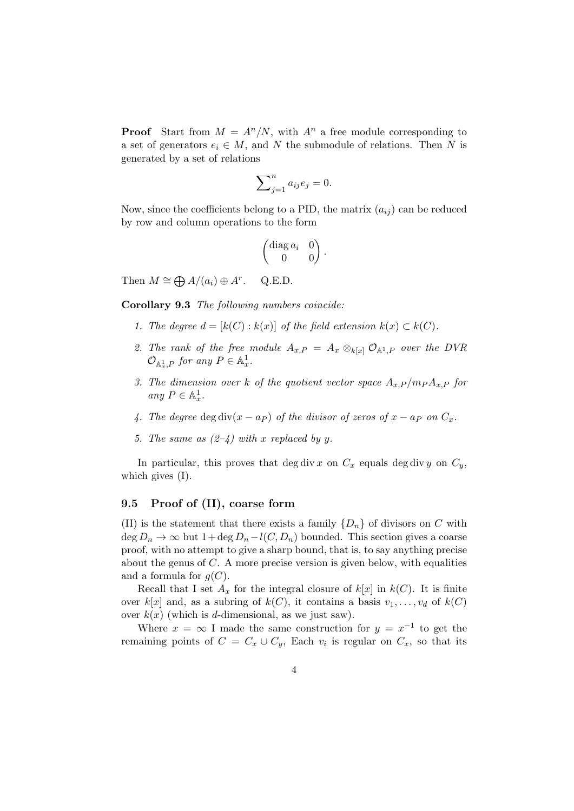**Proof** Start from  $M = A^n/N$ , with  $A^n$  a free module corresponding to a set of generators  $e_i \in M$ , and N the submodule of relations. Then N is generated by a set of relations

$$
\sum_{j=1}^{n} a_{ij} e_j = 0.
$$

Now, since the coefficients belong to a PID, the matrix  $(a_{ij})$  can be reduced by row and column operations to the form

$$
\begin{pmatrix} \text{diag } a_i & 0 \\ 0 & 0 \end{pmatrix}.
$$

Then  $M \cong \bigoplus A/(a_i) \oplus A^r$ . Q.E.D.

Corollary 9.3 The following numbers coincide:

- 1. The degree  $d = [k(C) : k(x)]$  of the field extension  $k(x) \subset k(C)$ .
- 2. The rank of the free module  $A_{x,P} = A_x \otimes_{k[x]} \mathcal{O}_{A^1,P}$  over the DVR  $\mathcal{O}_{\mathbb{A}^1_x,P}$  for any  $P \in \mathbb{A}^1_x$ .
- 3. The dimension over k of the quotient vector space  $A_{x,P}/m_P A_{x,P}$  for any  $P \in \mathbb{A}^1_x$ .
- 4. The degree deg div $(x a_P)$  of the divisor of zeros of  $x a_P$  on  $C_x$ .
- 5. The same as  $(2-4)$  with x replaced by y.

In particular, this proves that deg div x on  $C_x$  equals deg div y on  $C_y$ , which gives (I).

## 9.5 Proof of (II), coarse form

(II) is the statement that there exists a family  $\{D_n\}$  of divisors on C with deg  $D_n \to \infty$  but  $1 + \deg D_n - l(C, D_n)$  bounded. This section gives a coarse proof, with no attempt to give a sharp bound, that is, to say anything precise about the genus of  $C$ . A more precise version is given below, with equalities and a formula for  $q(C)$ .

Recall that I set  $A_x$  for the integral closure of  $k[x]$  in  $k(C)$ . It is finite over k[x] and, as a subring of  $k(C)$ , it contains a basis  $v_1, \ldots, v_d$  of  $k(C)$ over  $k(x)$  (which is d-dimensional, as we just saw).

Where  $x = \infty$  I made the same construction for  $y = x^{-1}$  to get the remaining points of  $C = C_x \cup C_y$ , Each  $v_i$  is regular on  $C_x$ , so that its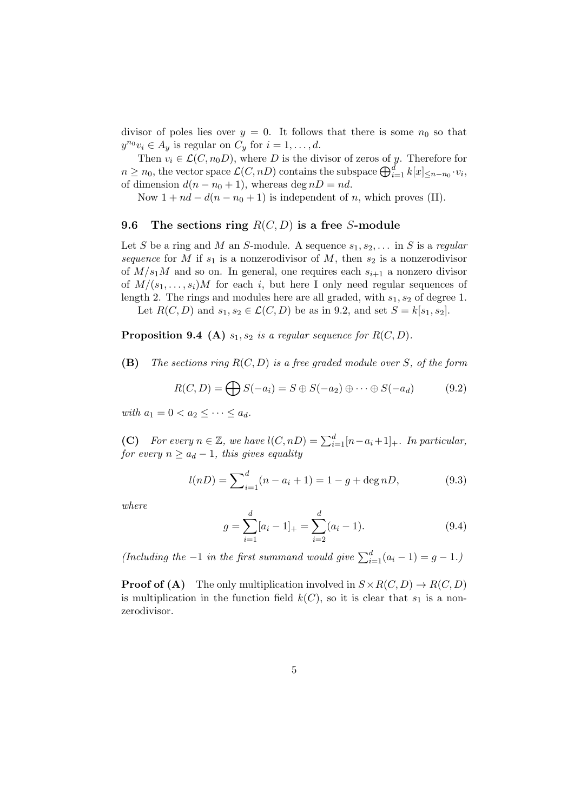divisor of poles lies over  $y = 0$ . It follows that there is some  $n_0$  so that  $y^{n_0}v_i \in A_y$  is regular on  $C_y$  for  $i = 1, \ldots, d$ .

Then  $v_i \in \mathcal{L}(C, n_0,)$ , where D is the divisor of zeros of y. Therefore for  $n \geq n_0$ , the vector space  $\mathcal{L}(C, nD)$  contains the subspace  $\bigoplus_{i=1}^d k[x]_{\leq n-n_0} \cdot v_i$ , of dimension  $d(n - n_0 + 1)$ , whereas deg  $nD = nd$ .

Now  $1 + nd - d(n - n_0 + 1)$  is independent of n, which proves (II).

## 9.6 The sections ring  $R(C, D)$  is a free S-module

Let S be a ring and M an S-module. A sequence  $s_1, s_2, \ldots$  in S is a regular sequence for M if  $s_1$  is a nonzerodivisor of M, then  $s_2$  is a nonzerodivisor of  $M/s<sub>1</sub>M$  and so on. In general, one requires each  $s<sub>i+1</sub>$  a nonzero divisor of  $M/(s_1, \ldots, s_i)M$  for each i, but here I only need regular sequences of length 2. The rings and modules here are all graded, with  $s_1, s_2$  of degree 1.

Let  $R(C, D)$  and  $s_1, s_2 \in \mathcal{L}(C, D)$  be as in 9.2, and set  $S = k[s_1, s_2]$ .

## **Proposition 9.4** (A)  $s_1, s_2$  is a regular sequence for  $R(C, D)$ .

(B) The sections ring  $R(C, D)$  is a free graded module over S, of the form

$$
R(C, D) = \bigoplus S(-a_i) = S \oplus S(-a_2) \oplus \cdots \oplus S(-a_d) \tag{9.2}
$$

with  $a_1 = 0 < a_2 \leq \cdots \leq a_d$ .

(C) For every  $n \in \mathbb{Z}$ , we have  $l(C, nD) = \sum_{i=1}^{d} [n-a_i+1]_+$ . In particular, for every  $n \geq a_d - 1$ , this gives equality

$$
l(nD) = \sum_{i=1}^{d} (n - a_i + 1) = 1 - g + \deg nD,
$$
\n(9.3)

where

$$
g = \sum_{i=1}^{d} [a_i - 1]_+ = \sum_{i=2}^{d} (a_i - 1).
$$
 (9.4)

(Including the -1 in the first summand would give  $\sum_{i=1}^{d} (a_i - 1) = g - 1$ .)

**Proof of (A)** The only multiplication involved in  $S \times R(C, D) \rightarrow R(C, D)$ is multiplication in the function field  $k(C)$ , so it is clear that  $s_1$  is a nonzerodivisor.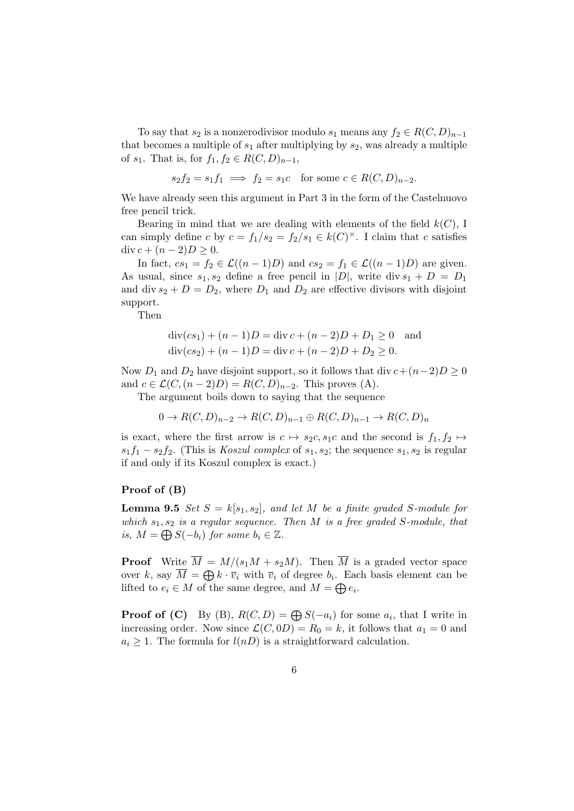To say that  $s_2$  is a nonzerodivisor modulo  $s_1$  means any  $f_2 \in R(C, D)_{n-1}$ that becomes a multiple of  $s_1$  after multiplying by  $s_2$ , was already a multiple of  $s_1$ . That is, for  $f_1, f_2 \in R(C, D)_{n-1}$ ,

$$
s_2 f_2 = s_1 f_1 \implies f_2 = s_1 c
$$
 for some  $c \in R(C, D)_{n-2}$ .

We have already seen this argument in Part 3 in the form of the Castelnuovo free pencil trick.

Bearing in mind that we are dealing with elements of the field  $k(C)$ , I can simply define c by  $c = f_1/s_2 = f_2/s_1 \in k(C)^{\times}$ . I claim that c satisfies div  $c + (n-2)D \geq 0$ .

In fact,  $cs_1 = f_2 \in \mathcal{L}((n-1)D)$  and  $cs_2 = f_1 \in \mathcal{L}((n-1)D)$  are given. As usual, since  $s_1, s_2$  define a free pencil in  $|D|$ , write div  $s_1 + D = D_1$ and div  $s_2 + D = D_2$ , where  $D_1$  and  $D_2$  are effective divisors with disjoint support.

Then

$$
\text{div}(cs_1) + (n-1)D = \text{div } c + (n-2)D + D_1 \ge 0 \text{ and}
$$
  

$$
\text{div}(cs_2) + (n-1)D = \text{div } c + (n-2)D + D_2 \ge 0.
$$

Now  $D_1$  and  $D_2$  have disjoint support, so it follows that div  $c + (n-2)D \ge 0$ and  $c \in \mathcal{L}(C,(n-2)D) = R(C,D)_{n-2}$ . This proves (A).

The argument boils down to saying that the sequence

 $0 \to R(C, D)_{n-2} \to R(C, D)_{n-1} \oplus R(C, D)_{n-1} \to R(C, D)_n$ 

is exact, where the first arrow is  $c \mapsto s_2c, s_1c$  and the second is  $f_1, f_2 \mapsto$  $s_1f_1 - s_2f_2$ . (This is *Koszul complex* of  $s_1, s_2$ ; the sequence  $s_1, s_2$  is regular if and only if its Koszul complex is exact.)

#### Proof of (B)

**Lemma 9.5** Set  $S = k[s_1, s_2]$ , and let M be a finite graded S-module for which  $s_1, s_2$  is a regular sequence. Then M is a free graded S-module, that is,  $M = \bigoplus S(-b_i)$  for some  $b_i \in \mathbb{Z}$ .

**Proof** Write  $\overline{M} = M/(s_1M + s_2M)$ . Then  $\overline{M}$  is a graded vector space over k, say  $\overline{M} = \bigoplus k \cdot \overline{v}_i$  with  $\overline{v}_i$  of degree  $b_i$ . Each basis element can be lifted to  $e_i \in M$  of the same degree, and  $M = \bigoplus e_i$ .

**Proof of (C)** By (B),  $R(C, D) = \bigoplus S(-a_i)$  for some  $a_i$ , that I write in increasing order. Now since  $\mathcal{L}(C, 0D) = R_0 = k$ , it follows that  $a_1 = 0$  and  $a_i \geq 1$ . The formula for  $l(nD)$  is a straightforward calculation.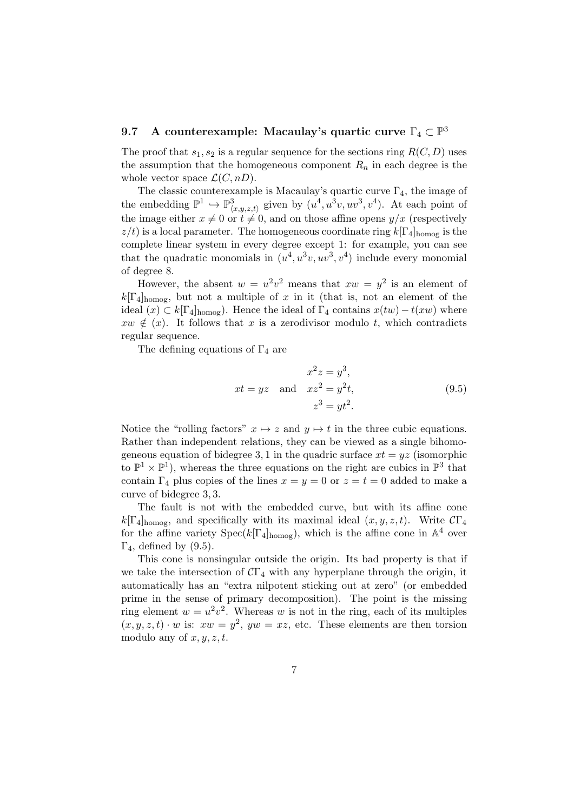# 9.7 A counterexample: Macaulay's quartic curve  $\Gamma_4\subset\mathbb{P}^3$

The proof that  $s_1, s_2$  is a regular sequence for the sections ring  $R(C, D)$  uses the assumption that the homogeneous component  $R_n$  in each degree is the whole vector space  $\mathcal{L}(C, nD)$ .

The classic counterexample is Macaulay's quartic curve  $\Gamma_4$ , the image of the embedding  $\mathbb{P}^1 \hookrightarrow \mathbb{P}^3_{\langle x,y,z,t\rangle}$  given by  $(u^4, u^3v, uv^3, v^4)$ . At each point of the image either  $x \neq 0$  or  $t \neq 0$ , and on those affine opens  $y/x$  (respectively  $z/t$ ) is a local parameter. The homogeneous coordinate ring  $k[\Gamma_4]_{\text{homog}}$  is the complete linear system in every degree except 1: for example, you can see that the quadratic monomials in  $(u^4, u^3v, uv^3, v^4)$  include every monomial of degree 8.

However, the absent  $w = u^2v^2$  means that  $xw = y^2$  is an element of  $k[\Gamma_4]_{\text{homog}}$ , but not a multiple of x in it (that is, not an element of the ideal  $(x) \subset k[\Gamma_4]_{\text{homog}}$ . Hence the ideal of  $\Gamma_4$  contains  $x(tw) - t(xw)$  where  $xw \notin (x)$ . It follows that x is a zerodivisor modulo t, which contradicts regular sequence.

The defining equations of  $\Gamma_4$  are

$$
x^2 z = y^3,
$$
  
\n
$$
xt = yz \text{ and } xz^2 = y^2t,
$$
  
\n
$$
z^3 = yt^2.
$$
\n(9.5)

Notice the "rolling factors"  $x \mapsto z$  and  $y \mapsto t$  in the three cubic equations. Rather than independent relations, they can be viewed as a single bihomogeneous equation of bidegree 3, 1 in the quadric surface  $xt = yz$  (isomorphic to  $\mathbb{P}^1 \times \mathbb{P}^1$ ), whereas the three equations on the right are cubics in  $\mathbb{P}^3$  that contain  $\Gamma_4$  plus copies of the lines  $x = y = 0$  or  $z = t = 0$  added to make a curve of bidegree 3, 3.

The fault is not with the embedded curve, but with its affine cone  $k[\Gamma_4]_{\text{homog}}$ , and specifically with its maximal ideal  $(x, y, z, t)$ . Write  $\mathcal{C}\Gamma_4$ for the affine variety  $Spec(k[\Gamma_4]_{homog})$ , which is the affine cone in  $\mathbb{A}^4$  over  $\Gamma_4$ , defined by (9.5).

This cone is nonsingular outside the origin. Its bad property is that if we take the intersection of  $\mathcal{C}\Gamma_4$  with any hyperplane through the origin, it automatically has an "extra nilpotent sticking out at zero" (or embedded prime in the sense of primary decomposition). The point is the missing ring element  $w = u^2v^2$ . Whereas w is not in the ring, each of its multiples  $(x, y, z, t) \cdot w$  is:  $xw = y^2$ ,  $yw = xz$ , etc. These elements are then torsion modulo any of  $x, y, z, t$ .